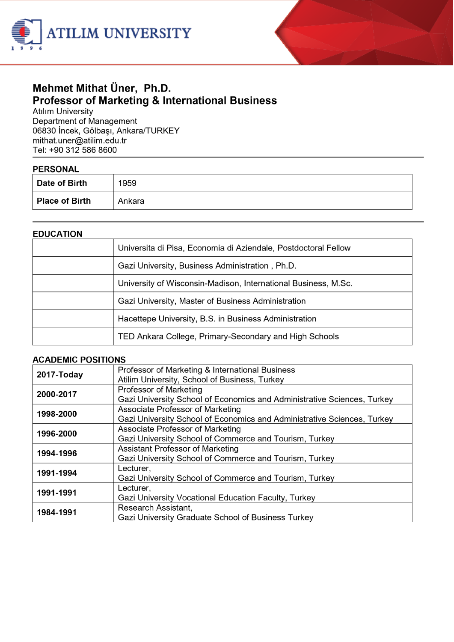



# Mehmet Mithat Üner, Ph.D. **Professor of Marketing & International Business**

**Atılım University** Department of Management 06830 Incek, Gölbaşı, Ankara/TURKEY mithat.uner@atilim.edu.tr Tel: +90 312 586 8600

# **DEDCONAL**

| Date of Birth  | 1959   |
|----------------|--------|
| Place of Birth | Ankara |

#### **EDUCATION**

| Universita di Pisa, Economia di Aziendale, Postdoctoral Fellow |
|----------------------------------------------------------------|
| Gazi University, Business Administration, Ph.D.                |
| University of Wisconsin-Madison, International Business, M.Sc. |
| Gazi University, Master of Business Administration             |
| Hacettepe University, B.S. in Business Administration          |
| TED Ankara College, Primary-Secondary and High Schools         |

#### **ACADEMIC POSITIONS**

| 2017-Today | Professor of Marketing & International Business                         |
|------------|-------------------------------------------------------------------------|
|            | Atilim University, School of Business, Turkey                           |
| 2000-2017  | Professor of Marketing                                                  |
|            | Gazi University School of Economics and Administrative Sciences, Turkey |
| 1998-2000  | Associate Professor of Marketing                                        |
|            | Gazi University School of Economics and Administrative Sciences, Turkey |
| 1996-2000  | Associate Professor of Marketing                                        |
|            | Gazi University School of Commerce and Tourism, Turkey                  |
| 1994-1996  | Assistant Professor of Marketing                                        |
|            | Gazi University School of Commerce and Tourism, Turkey                  |
| 1991-1994  | Lecturer,                                                               |
|            | Gazi University School of Commerce and Tourism, Turkey                  |
| 1991-1991  | Lecturer,                                                               |
|            | Gazi University Vocational Education Faculty, Turkey                    |
| 1984-1991  | Research Assistant,                                                     |
|            | Gazi University Graduate School of Business Turkey                      |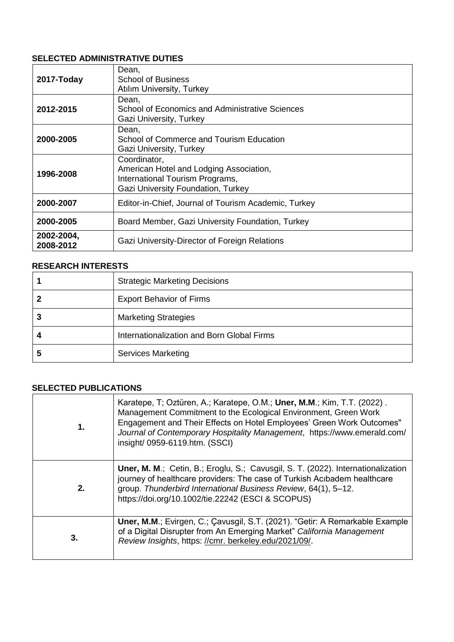### **SELECTED ADMINISTRATIVE DUTIES**

| 2017-Today              | Dean,<br><b>School of Business</b><br>Atılım University, Turkey                                                                  |
|-------------------------|----------------------------------------------------------------------------------------------------------------------------------|
| 2012-2015               | Dean,<br>School of Economics and Administrative Sciences<br>Gazi University, Turkey                                              |
| 2000-2005               | Dean,<br>School of Commerce and Tourism Education<br>Gazi University, Turkey                                                     |
| 1996-2008               | Coordinator,<br>American Hotel and Lodging Association,<br>International Tourism Programs,<br>Gazi University Foundation, Turkey |
| 2000-2007               | Editor-in-Chief, Journal of Tourism Academic, Turkey                                                                             |
| 2000-2005               | Board Member, Gazi University Foundation, Turkey                                                                                 |
| 2002-2004,<br>2008-2012 | Gazi University-Director of Foreign Relations                                                                                    |

#### **RESEARCH INTERESTS**

| <b>Strategic Marketing Decisions</b>       |
|--------------------------------------------|
| <b>Export Behavior of Firms</b>            |
| <b>Marketing Strategies</b>                |
| Internationalization and Born Global Firms |
| <b>Services Marketing</b>                  |

#### **SELECTED PUBLICATIONS**

| 1.          | Karatepe, T; Oztüren, A.; Karatepe, O.M.; Uner, M.M.; Kim, T.T. (2022).<br>Management Commitment to the Ecological Environment, Green Work<br>Engagement and Their Effects on Hotel Employees' Green Work Outcomes"<br>Journal of Contemporary Hospitality Management, https://www.emerald.com/<br>insight/ 0959-6119.htm. (SSCI) |
|-------------|-----------------------------------------------------------------------------------------------------------------------------------------------------------------------------------------------------------------------------------------------------------------------------------------------------------------------------------|
| $2_{\cdot}$ | <b>Uner, M. M.; Cetin, B.; Eroglu, S.; Cavusgil, S. T. (2022). Internationalization</b><br>journey of healthcare providers: The case of Turkish Acibadem healthcare<br>group. Thunderbird International Business Review, 64(1), 5-12.<br>https://doi.org/10.1002/tie.22242 (ESCI & SCOPUS)                                        |
| 3.          | Uner, M.M.; Evirgen, C.; Çavusgil, S.T. (2021). "Getir: A Remarkable Example<br>of a Digital Disrupter from An Emerging Market" California Management<br>Review Insights, https: //cmr. berkeley.edu/2021/09/.                                                                                                                    |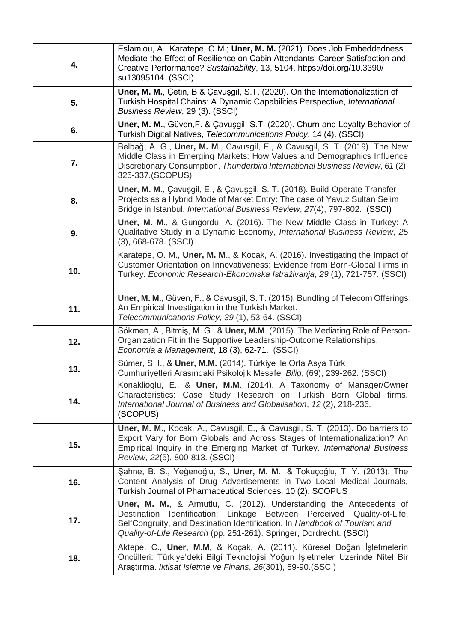| 4.  | Eslamlou, A.; Karatepe, O.M.; Uner, M. M. (2021). Does Job Embeddedness<br>Mediate the Effect of Resilience on Cabin Attendants' Career Satisfaction and<br>Creative Performance? Sustainability, 13, 5104. https://doi.org/10.3390/<br>su13095104. (SSCI)                                                   |
|-----|--------------------------------------------------------------------------------------------------------------------------------------------------------------------------------------------------------------------------------------------------------------------------------------------------------------|
| 5.  | Uner, M. M., Çetin, B & Çavuşgil, S.T. (2020). On the Internationalization of<br>Turkish Hospital Chains: A Dynamic Capabilities Perspective, International<br>Business Review, 29 (3). (SSCI)                                                                                                               |
| 6.  | Uner, M. M., Güven, F. & Çavuşgil, S.T. (2020). Churn and Loyalty Behavior of<br>Turkish Digital Natives, Telecommunications Policy, 14 (4). (SSCI)                                                                                                                                                          |
| 7.  | Belbağ, A. G., Uner, M. M., Cavusgil, E., & Cavusgil, S. T. (2019). The New<br>Middle Class in Emerging Markets: How Values and Demographics Influence<br>Discretionary Consumption, Thunderbird International Business Review, 61 (2),<br>325-337.(SCOPUS)                                                  |
| 8.  | Uner, M. M., Çavuşgil, E., & Çavuşgil, S. T. (2018). Build-Operate-Transfer<br>Projects as a Hybrid Mode of Market Entry: The case of Yavuz Sultan Selim<br>Bridge in Istanbul. International Business Review, 27(4), 797-802. (SSCI)                                                                        |
| 9.  | Uner, M. M., & Gungordu, A. (2016). The New Middle Class in Turkey: A<br>Qualitative Study in a Dynamic Economy, International Business Review, 25<br>$(3)$ , 668-678. $(SSCI)$                                                                                                                              |
| 10. | Karatepe, O. M., Uner, M. M., & Kocak, A. (2016). Investigating the Impact of<br>Customer Orientation on Innovativeness: Evidence from Born-Global Firms in<br>Turkey. Economic Research-Ekonomska Istraživanja, 29(1), 721-757. (SSCI)                                                                      |
| 11. | Uner, M. M., Güven, F., & Cavusgil, S. T. (2015). Bundling of Telecom Offerings:<br>An Empirical Investigation in the Turkish Market.<br>Telecommunications Policy, 39 (1), 53-64. (SSCI)                                                                                                                    |
| 12. | Sökmen, A., Bitmis, M. G., & Uner, M.M. (2015). The Mediating Role of Person-<br>Organization Fit in the Supportive Leadership-Outcome Relationships.<br>Economia a Management, 18 (3), 62-71. (SSCI)                                                                                                        |
| 13. | Sümer, S. I., & Uner, M.M. (2014). Türkiye ile Orta Asya Türk<br>Cumhuriyetleri Arasındaki Psikolojik Mesafe. Bilig, (69), 239-262. (SSCI)                                                                                                                                                                   |
| 14. | Konaklioglu, E., & Uner, M.M. (2014). A Taxonomy of Manager/Owner<br>Characteristics: Case Study Research on Turkish Born Global firms.<br>International Journal of Business and Globalisation, 12 (2), 218-236.<br>(SCOPUS)                                                                                 |
| 15. | Uner, M. M., Kocak, A., Cavusgil, E., & Cavusgil, S. T. (2013). Do barriers to<br>Export Vary for Born Globals and Across Stages of Internationalization? An<br>Empirical Inquiry in the Emerging Market of Turkey. International Business<br>Review, 22(5), 800-813. (SSCI)                                 |
| 16. | Şahne, B. S., Yeğenoğlu, S., Uner, M. M., & Tokuçoğlu, T. Y. (2013). The<br>Content Analysis of Drug Advertisements in Two Local Medical Journals,<br>Turkish Journal of Pharmaceutical Sciences, 10 (2). SCOPUS                                                                                             |
| 17. | <b>Uner, M. M., &amp; Armutlu, C. (2012). Understanding the Antecedents of</b><br>Destination Identification: Linkage Between Perceived Quality-of-Life,<br>SelfCongruity, and Destination Identification. In Handbook of Tourism and<br>Quality-of-Life Research (pp. 251-261). Springer, Dordrecht. (SSCI) |
| 18. | Aktepe, C., Uner, M.M, & Koçak, A. (2011). Küresel Doğan İşletmelerin<br>Öncülleri: Türkiye'deki Bilgi Teknolojisi Yoğun İşletmeler Üzerinde Nitel Bir<br>Araştırma. Iktisat Isletme ve Finans, 26(301), 59-90.(SSCI)                                                                                        |